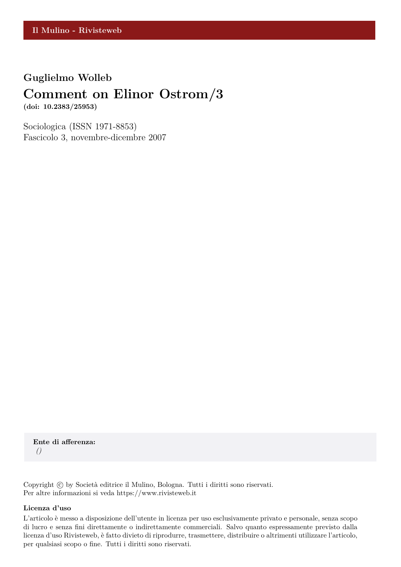### **Guglielmo Wolleb**

## **Comment on Elinor Ostrom/3**

**(doi: 10.2383/25953)**

Sociologica (ISSN 1971-8853) Fascicolo 3, novembre-dicembre 2007

**Ente di afferenza:** *()*

Copyright © by Società editrice il Mulino, Bologna. Tutti i diritti sono riservati. Per altre informazioni si veda https://www.rivisteweb.it

#### **Licenza d'uso**

L'articolo è messo a disposizione dell'utente in licenza per uso esclusivamente privato e personale, senza scopo di lucro e senza fini direttamente o indirettamente commerciali. Salvo quanto espressamente previsto dalla licenza d'uso Rivisteweb, è fatto divieto di riprodurre, trasmettere, distribuire o altrimenti utilizzare l'articolo, per qualsiasi scopo o fine. Tutti i diritti sono riservati.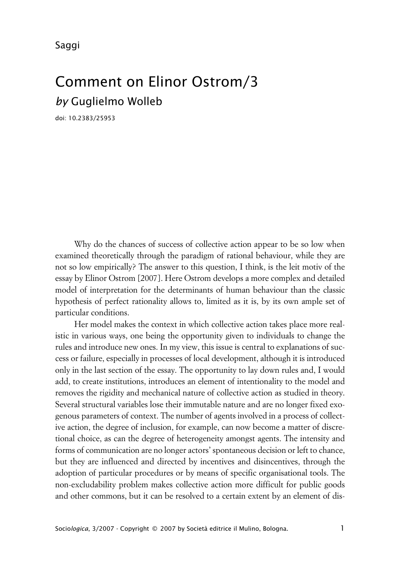Saggi

# Comment on Elinor Ostrom/3 *by* Guglielmo Wolleb

doi: 10.2383/25953

Why do the chances of success of collective action appear to be so low when examined theoretically through the paradigm of rational behaviour, while they are not so low empirically? The answer to this question, I think, is the leit motiv of the essay by Elinor Ostrom [2007]. Here Ostrom develops a more complex and detailed model of interpretation for the determinants of human behaviour than the classic hypothesis of perfect rationality allows to, limited as it is, by its own ample set of particular conditions.

Her model makes the context in which collective action takes place more realistic in various ways, one being the opportunity given to individuals to change the rules and introduce new ones. In my view, this issue is central to explanations of success or failure, especially in processes of local development, although it is introduced only in the last section of the essay. The opportunity to lay down rules and, I would add, to create institutions, introduces an element of intentionality to the model and removes the rigidity and mechanical nature of collective action as studied in theory. Several structural variables lose their immutable nature and are no longer fixed exogenous parameters of context. The number of agents involved in a process of collective action, the degree of inclusion, for example, can now become a matter of discretional choice, as can the degree of heterogeneity amongst agents. The intensity and forms of communication are no longer actors' spontaneous decision or left to chance, but they are influenced and directed by incentives and disincentives, through the adoption of particular procedures or by means of specific organisational tools. The non-excludability problem makes collective action more difficult for public goods and other commons, but it can be resolved to a certain extent by an element of dis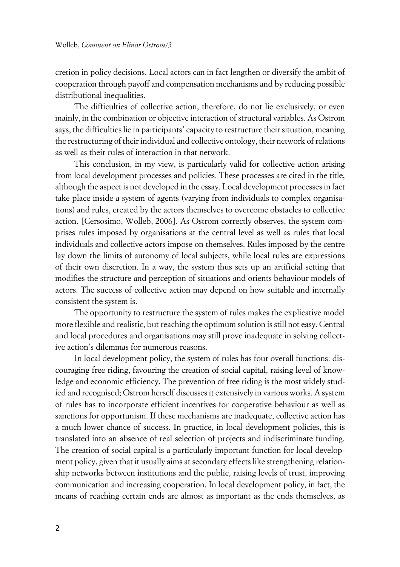cretion in policy decisions. Local actors can in fact lengthen or diversify the ambit of cooperation through payoff and compensation mechanisms and by reducing possible distributional inequalities.

The difficulties of collective action, therefore, do not lie exclusively, or even mainly, in the combination or objective interaction of structural variables. As Ostrom says, the difficulties lie in participants' capacity to restructure their situation, meaning the restructuring of their individual and collective ontology, their network of relations as well as their rules of interaction in that network.

This conclusion, in my view, is particularly valid for collective action arising from local development processes and policies. These processes are cited in the title, although the aspect is not developed in the essay. Local development processes in fact take place inside a system of agents (varying from individuals to complex organisations) and rules, created by the actors themselves to overcome obstacles to collective action. [Cersosimo, Wolleb, 2006]. As Ostrom correctly observes, the system comprises rules imposed by organisations at the central level as well as rules that local individuals and collective actors impose on themselves. Rules imposed by the centre lay down the limits of autonomy of local subjects, while local rules are expressions of their own discretion. In a way, the system thus sets up an artificial setting that modifies the structure and perception of situations and orients behaviour models of actors. The success of collective action may depend on how suitable and internally consistent the system is.

The opportunity to restructure the system of rules makes the explicative model more flexible and realistic, but reaching the optimum solution is still not easy. Central and local procedures and organisations may still prove inadequate in solving collective action's dilemmas for numerous reasons.

In local development policy, the system of rules has four overall functions: discouraging free riding, favouring the creation of social capital, raising level of knowledge and economic efficiency. The prevention of free riding is the most widely studied and recognised; Ostrom herself discusses it extensively in various works. A system of rules has to incorporate efficient incentives for cooperative behaviour as well as sanctions for opportunism. If these mechanisms are inadequate, collective action has a much lower chance of success. In practice, in local development policies, this is translated into an absence of real selection of projects and indiscriminate funding. The creation of social capital is a particularly important function for local development policy, given that it usually aims at secondary effects like strengthening relationship networks between institutions and the public, raising levels of trust, improving communication and increasing cooperation. In local development policy, in fact, the means of reaching certain ends are almost as important as the ends themselves, as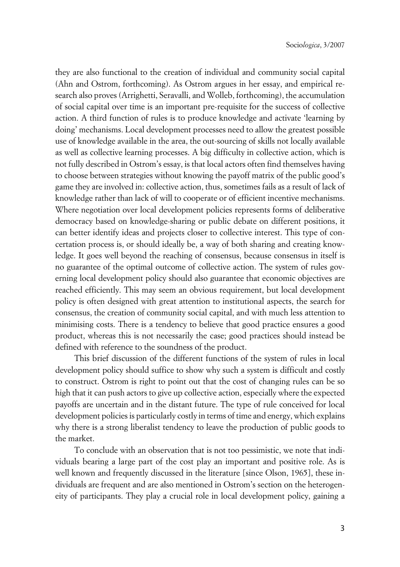they are also functional to the creation of individual and community social capital (Ahn and Ostrom, forthcoming). As Ostrom argues in her essay, and empirical research also proves (Arrighetti, Seravalli, and Wolleb, forthcoming), the accumulation of social capital over time is an important pre-requisite for the success of collective action. A third function of rules is to produce knowledge and activate 'learning by doing' mechanisms. Local development processes need to allow the greatest possible use of knowledge available in the area, the out-sourcing of skills not locally available as well as collective learning processes. A big difficulty in collective action, which is not fully described in Ostrom's essay, is that local actors often find themselves having to choose between strategies without knowing the payoff matrix of the public good's game they are involved in: collective action, thus, sometimes fails as a result of lack of knowledge rather than lack of will to cooperate or of efficient incentive mechanisms. Where negotiation over local development policies represents forms of deliberative democracy based on knowledge-sharing or public debate on different positions, it can better identify ideas and projects closer to collective interest. This type of concertation process is, or should ideally be, a way of both sharing and creating knowledge. It goes well beyond the reaching of consensus, because consensus in itself is no guarantee of the optimal outcome of collective action. The system of rules governing local development policy should also guarantee that economic objectives are reached efficiently. This may seem an obvious requirement, but local development policy is often designed with great attention to institutional aspects, the search for consensus, the creation of community social capital, and with much less attention to minimising costs. There is a tendency to believe that good practice ensures a good product, whereas this is not necessarily the case; good practices should instead be defined with reference to the soundness of the product.

This brief discussion of the different functions of the system of rules in local development policy should suffice to show why such a system is difficult and costly to construct. Ostrom is right to point out that the cost of changing rules can be so high that it can push actors to give up collective action, especially where the expected payoffs are uncertain and in the distant future. The type of rule conceived for local development policies is particularly costly in terms of time and energy, which explains why there is a strong liberalist tendency to leave the production of public goods to the market.

To conclude with an observation that is not too pessimistic, we note that individuals bearing a large part of the cost play an important and positive role. As is well known and frequently discussed in the literature [since Olson, 1965], these individuals are frequent and are also mentioned in Ostrom's section on the heterogeneity of participants. They play a crucial role in local development policy, gaining a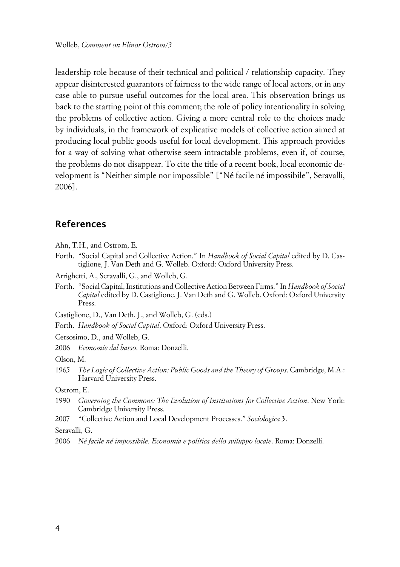leadership role because of their technical and political / relationship capacity. They appear disinterested guarantors of fairness to the wide range of local actors, or in any case able to pursue useful outcomes for the local area. This observation brings us back to the starting point of this comment; the role of policy intentionality in solving the problems of collective action. Giving a more central role to the choices made by individuals, in the framework of explicative models of collective action aimed at producing local public goods useful for local development. This approach provides for a way of solving what otherwise seem intractable problems, even if, of course, the problems do not disappear. To cite the title of a recent book, local economic development is "Neither simple nor impossible" ["Né facile né impossibile", Seravalli, 2006].

### **References**

- Ahn, T.H., and Ostrom, E.
- Forth. "Social Capital and Collective Action." In *Handbook of Social Capital* edited by D. Castiglione, J. Van Deth and G. Wolleb. Oxford: Oxford University Press.
- Arrighetti, A., Seravalli, G., and Wolleb, G.
- Forth. "Social Capital, Institutions and Collective Action Between Firms." In *Handbook of Social Capital* edited by D. Castiglione, J. Van Deth and G. Wolleb. Oxford: Oxford University Press.
- Castiglione, D., Van Deth, J., and Wolleb, G. (eds.)
- Forth. *Handbook of Social Capital*. Oxford: Oxford University Press.

Cersosimo, D., and Wolleb, G.

2006 *Economie dal basso*. Roma: Donzelli.

Olson, M.

1965 *The Logic of Collective Action: Public Goods and the Theory of Groups*. Cambridge, M.A.: Harvard University Press.

Ostrom, E.

- 1990 *Governing the Commons: The Evolution of Institutions for Collective Action*. New York: Cambridge University Press.
- 2007 "Collective Action and Local Development Processes." *Sociologica* 3.

Seravalli, G.

<sup>2006</sup> *Né facile né impossibile. Economia e politica dello sviluppo locale*. Roma: Donzelli.